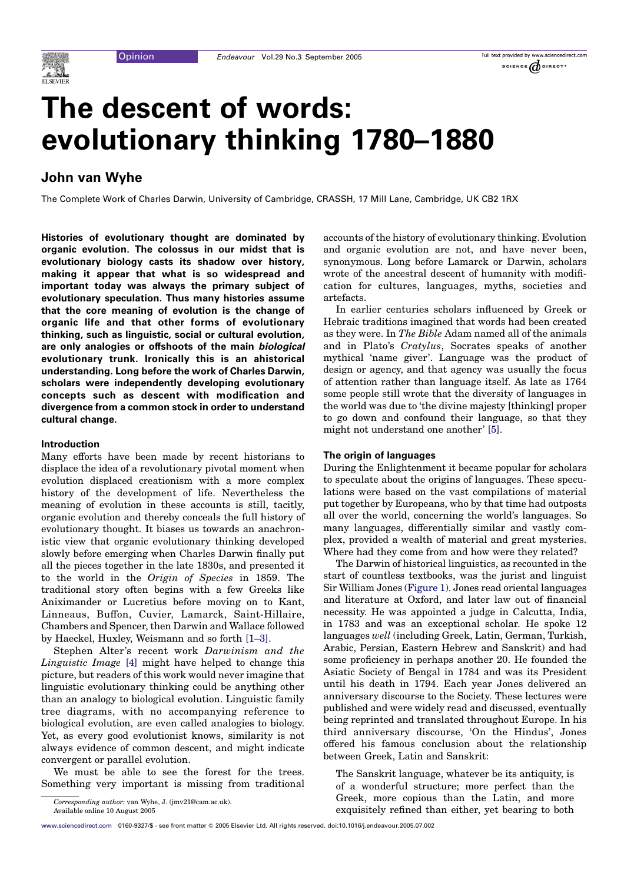

# The descent of words: evolutionary thinking 1780–1880

## John van Wyhe

The Complete Work of Charles Darwin, University of Cambridge, CRASSH, 17 Mill Lane, Cambridge, UK CB2 1RX

Histories of evolutionary thought are dominated by organic evolution. The colossus in our midst that is evolutionary biology casts its shadow over history, making it appear that what is so widespread and important today was always the primary subject of evolutionary speculation. Thus many histories assume that the core meaning of evolution is the change of organic life and that other forms of evolutionary thinking, such as linguistic, social or cultural evolution, are only analogies or offshoots of the main biological evolutionary trunk. Ironically this is an ahistorical understanding. Long before the work of Charles Darwin, scholars were independently developing evolutionary concepts such as descent with modification and divergence from a common stock in order to understand cultural change.

#### Introduction

Many efforts have been made by recent historians to displace the idea of a revolutionary pivotal moment when evolution displaced creationism with a more complex history of the development of life. Nevertheless the meaning of evolution in these accounts is still, tacitly, organic evolution and thereby conceals the full history of evolutionary thought. It biases us towards an anachronistic view that organic evolutionary thinking developed slowly before emerging when Charles Darwin finally put all the pieces together in the late 1830s, and presented it to the world in the Origin of Species in 1859. The traditional story often begins with a few Greeks like Aniximander or Lucretius before moving on to Kant, Linneaus, Buffon, Cuvier, Lamarck, Saint-Hillaire, Chambers and Spencer, then Darwin and Wallace followed by Haeckel, Huxley, Weismann and so forth [\[1–3\]](#page-5-0).

Stephen Alter's recent work Darwinism and the Linguistic Image [\[4\]](#page-5-0) might have helped to change this picture, but readers of this work would never imagine that linguistic evolutionary thinking could be anything other than an analogy to biological evolution. Linguistic family tree diagrams, with no accompanying reference to biological evolution, are even called analogies to biology. Yet, as every good evolutionist knows, similarity is not always evidence of common descent, and might indicate convergent or parallel evolution.

We must be able to see the forest for the trees. Something very important is missing from traditional

Corresponding author: van Wyhe, J. (jmv21@cam.ac.uk).

Available online 10 August 2005

accounts of the history of evolutionary thinking. Evolution and organic evolution are not, and have never been, synonymous. Long before Lamarck or Darwin, scholars wrote of the ancestral descent of humanity with modification for cultures, languages, myths, societies and artefacts.

In earlier centuries scholars influenced by Greek or Hebraic traditions imagined that words had been created as they were. In The Bible Adam named all of the animals and in Plato's Cratylus, Socrates speaks of another mythical 'name giver'. Language was the product of design or agency, and that agency was usually the focus of attention rather than language itself. As late as 1764 some people still wrote that the diversity of languages in the world was due to 'the divine majesty [thinking] proper to go down and confound their language, so that they might not understand one another' [\[5\].](#page-5-0)

#### The origin of languages

During the Enlightenment it became popular for scholars to speculate about the origins of languages. These speculations were based on the vast compilations of material put together by Europeans, who by that time had outposts all over the world, concerning the world's languages. So many languages, differentially similar and vastly complex, provided a wealth of material and great mysteries. Where had they come from and how were they related?

The Darwin of historical linguistics, as recounted in the start of countless textbooks, was the jurist and linguist Sir William Jones ([Figure 1\)](#page-1-0). Jones read oriental languages and literature at Oxford, and later law out of financial necessity. He was appointed a judge in Calcutta, India, in 1783 and was an exceptional scholar. He spoke 12 languages well (including Greek, Latin, German, Turkish, Arabic, Persian, Eastern Hebrew and Sanskrit) and had some proficiency in perhaps another 20. He founded the Asiatic Society of Bengal in 1784 and was its President until his death in 1794. Each year Jones delivered an anniversary discourse to the Society. These lectures were published and were widely read and discussed, eventually being reprinted and translated throughout Europe. In his third anniversary discourse, 'On the Hindus', Jones offered his famous conclusion about the relationship between Greek, Latin and Sanskrit:

The Sanskrit language, whatever be its antiquity, is of a wonderful structure; more perfect than the Greek, more copious than the Latin, and more exquisitely refined than either, yet bearing to both

[www.sciencedirect.com](http://www.sciencedirect.com) 0160-9327/\$ - see front matter Q 2005 Elsevier Ltd. All rights reserved. doi:10.1016/j.endeavour.2005.07.002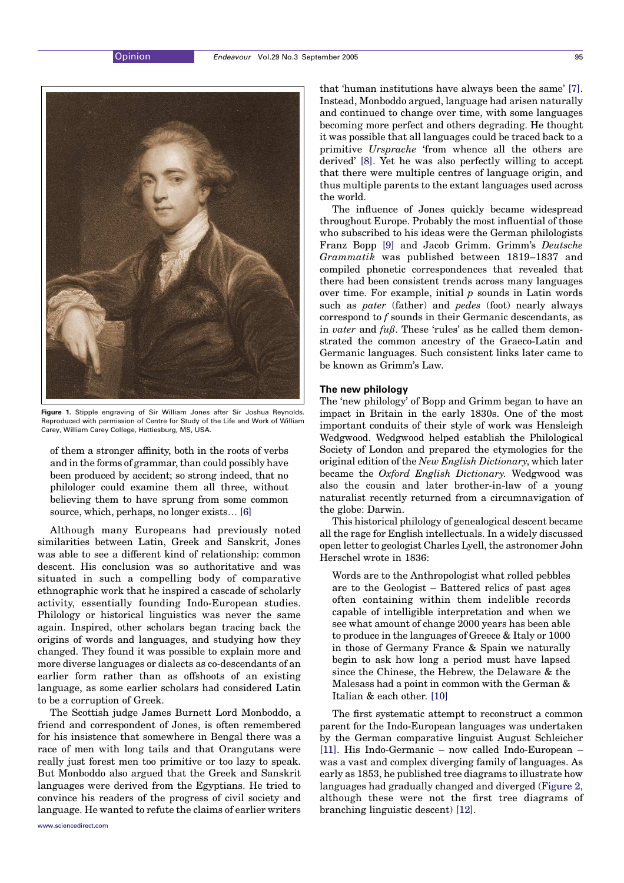<span id="page-1-0"></span>

Figure 1. Stipple engraving of Sir William Jones after Sir Joshua Reynolds. Reproduced with permission of Centre for Study of the Life and Work of William Carey, William Carey College, Hattiesburg, MS, USA.

of them a stronger affinity, both in the roots of verbs and in the forms of grammar, than could possibly have been produced by accident; so strong indeed, that no philologer could examine them all three, without believing them to have sprung from some common source, which, perhaps, no longer exists... [\[6\]](#page-5-0)

Although many Europeans had previously noted similarities between Latin, Greek and Sanskrit, Jones was able to see a different kind of relationship: common descent. His conclusion was so authoritative and was situated in such a compelling body of comparative ethnographic work that he inspired a cascade of scholarly activity, essentially founding Indo-European studies. Philology or historical linguistics was never the same again. Inspired, other scholars began tracing back the origins of words and languages, and studying how they changed. They found it was possible to explain more and more diverse languages or dialects as co-descendants of an earlier form rather than as offshoots of an existing language, as some earlier scholars had considered Latin to be a corruption of Greek.

The Scottish judge James Burnett Lord Monboddo, a friend and correspondent of Jones, is often remembered for his insistence that somewhere in Bengal there was a race of men with long tails and that Orangutans were really just forest men too primitive or too lazy to speak. But Monboddo also argued that the Greek and Sanskrit languages were derived from the Egyptians. He tried to convince his readers of the progress of civil society and language. He wanted to refute the claims of earlier writers [www.sciencedirect.com](http://www.sciencedirect.com)

that 'human institutions have always been the same' [\[7\]](#page-5-0). Instead, Monboddo argued, language had arisen naturally and continued to change over time, with some languages becoming more perfect and others degrading. He thought it was possible that all languages could be traced back to a primitive Ursprache 'from whence all the others are derived' [\[8\]](#page-5-0). Yet he was also perfectly willing to accept that there were multiple centres of language origin, and thus multiple parents to the extant languages used across the world.

The influence of Jones quickly became widespread throughout Europe. Probably the most influential of those who subscribed to his ideas were the German philologists Franz Bopp [\[9\]](#page-5-0) and Jacob Grimm. Grimm's Deutsche Grammatik was published between 1819–1837 and compiled phonetic correspondences that revealed that there had been consistent trends across many languages over time. For example, initial  $p$  sounds in Latin words such as *pater* (father) and *pedes* (foot) nearly always correspond to f sounds in their Germanic descendants, as in *vater* and  $f\mathcal{u}\beta$ . These 'rules' as he called them demonstrated the common ancestry of the Graeco-Latin and Germanic languages. Such consistent links later came to be known as Grimm's Law.

#### The new philology

The 'new philology' of Bopp and Grimm began to have an impact in Britain in the early 1830s. One of the most important conduits of their style of work was Hensleigh Wedgwood. Wedgwood helped establish the Philological Society of London and prepared the etymologies for the original edition of the New English Dictionary, which later became the Oxford English Dictionary. Wedgwood was also the cousin and later brother-in-law of a young naturalist recently returned from a circumnavigation of the globe: Darwin.

This historical philology of genealogical descent became all the rage for English intellectuals. In a widely discussed open letter to geologist Charles Lyell, the astronomer John Herschel wrote in 1836:

Words are to the Anthropologist what rolled pebbles are to the Geologist – Battered relics of past ages often containing within them indelible records capable of intelligible interpretation and when we see what amount of change 2000 years has been able to produce in the languages of Greece & Italy or 1000 in those of Germany France & Spain we naturally begin to ask how long a period must have lapsed since the Chinese, the Hebrew, the Delaware & the Malesass had a point in common with the German & Italian & each other. [\[10\]](#page-5-0)

The first systematic attempt to reconstruct a common parent for the Indo-European languages was undertaken by the German comparative linguist August Schleicher [\[11\]](#page-5-0). His Indo-Germanic – now called Indo-European – was a vast and complex diverging family of languages. As early as 1853, he published tree diagrams to illustrate how languages had gradually changed and diverged [\(Figure 2](#page-2-0), although these were not the first tree diagrams of branching linguistic descent) [\[12\]](#page-5-0).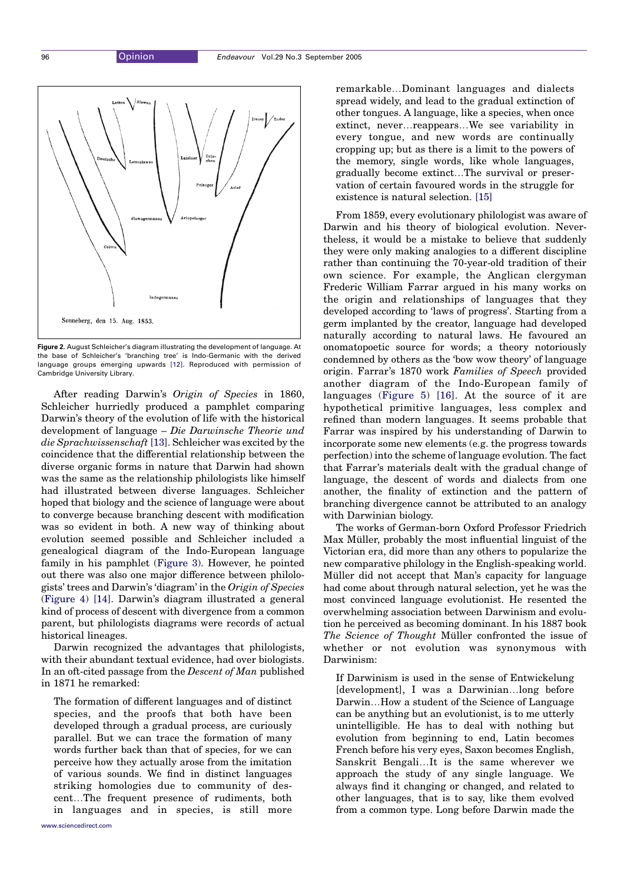<span id="page-2-0"></span>

Figure 2. August Schleicher's diagram illustrating the development of language. At the base of Schleicher's 'branching tree' is Indo-Germanic with the derived language groups emerging upwards [\[12\]](#page-5-0). Reproduced with permission of Cambridge University Library.

After reading Darwin's Origin of Species in 1860, Schleicher hurriedly produced a pamphlet comparing Darwin's theory of the evolution of life with the historical development of language – Die Darwinsche Theorie und die Sprachwissenschaft [\[13\].](#page-5-0) Schleicher was excited by the coincidence that the differential relationship between the diverse organic forms in nature that Darwin had shown was the same as the relationship philologists like himself had illustrated between diverse languages. Schleicher hoped that biology and the science of language were about to converge because branching descent with modification was so evident in both. A new way of thinking about evolution seemed possible and Schleicher included a genealogical diagram of the Indo-European language family in his pamphlet ([Figure 3](#page-3-0)). However, he pointed out there was also one major difference between philologists' trees and Darwin's 'diagram' in the Origin of Species ([Figure 4](#page-4-0)) [\[14\].](#page-5-0) Darwin's diagram illustrated a general kind of process of descent with divergence from a common parent, but philologists diagrams were records of actual historical lineages.

Darwin recognized the advantages that philologists, with their abundant textual evidence, had over biologists. In an oft-cited passage from the Descent of Man published in 1871 he remarked:

The formation of different languages and of distinct species, and the proofs that both have been developed through a gradual process, are curiously parallel. But we can trace the formation of many words further back than that of species, for we can perceive how they actually arose from the imitation of various sounds. We find in distinct languages striking homologies due to community of descent.The frequent presence of rudiments, both in languages and in species, is still more remarkable...Dominant languages and dialects spread widely, and lead to the gradual extinction of other tongues. A language, like a species, when once extinct, never... reappears...We see variability in every tongue, and new words are continually cropping up; but as there is a limit to the powers of the memory, single words, like whole languages, gradually become extinct...The survival or preservation of certain favoured words in the struggle for existence is natural selection. [\[15\]](#page-5-0)

From 1859, every evolutionary philologist was aware of Darwin and his theory of biological evolution. Nevertheless, it would be a mistake to believe that suddenly they were only making analogies to a different discipline rather than continuing the 70-year-old tradition of their own science. For example, the Anglican clergyman Frederic William Farrar argued in his many works on the origin and relationships of languages that they developed according to 'laws of progress'. Starting from a germ implanted by the creator, language had developed naturally according to natural laws. He favoured an onomatopoetic source for words; a theory notoriously condemned by others as the 'bow wow theory' of language origin. Farrar's 1870 work Families of Speech provided another diagram of the Indo-European family of languages [\(Figure 5\)](#page-4-0) [\[16\].](#page-5-0) At the source of it are hypothetical primitive languages, less complex and refined than modern languages. It seems probable that Farrar was inspired by his understanding of Darwin to incorporate some new elements (e.g. the progress towards perfection) into the scheme of language evolution. The fact that Farrar's materials dealt with the gradual change of language, the descent of words and dialects from one another, the finality of extinction and the pattern of branching divergence cannot be attributed to an analogy with Darwinian biology.

The works of German-born Oxford Professor Friedrich Max Müller, probably the most influential linguist of the Victorian era, did more than any others to popularize the new comparative philology in the English-speaking world. Müller did not accept that Man's capacity for language had come about through natural selection, yet he was the most convinced language evolutionist. He resented the overwhelming association between Darwinism and evolution he perceived as becoming dominant. In his 1887 book The Science of Thought Müller confronted the issue of whether or not evolution was synonymous with Darwinism:

If Darwinism is used in the sense of Entwickelung [development], I was a Darwinian...long before Darwin...How a student of the Science of Language can be anything but an evolutionist, is to me utterly unintelligible. He has to deal with nothing but evolution from beginning to end, Latin becomes French before his very eyes, Saxon becomes English, Sanskrit Bengali.It is the same wherever we approach the study of any single language. We always find it changing or changed, and related to other languages, that is to say, like them evolved from a common type. Long before Darwin made the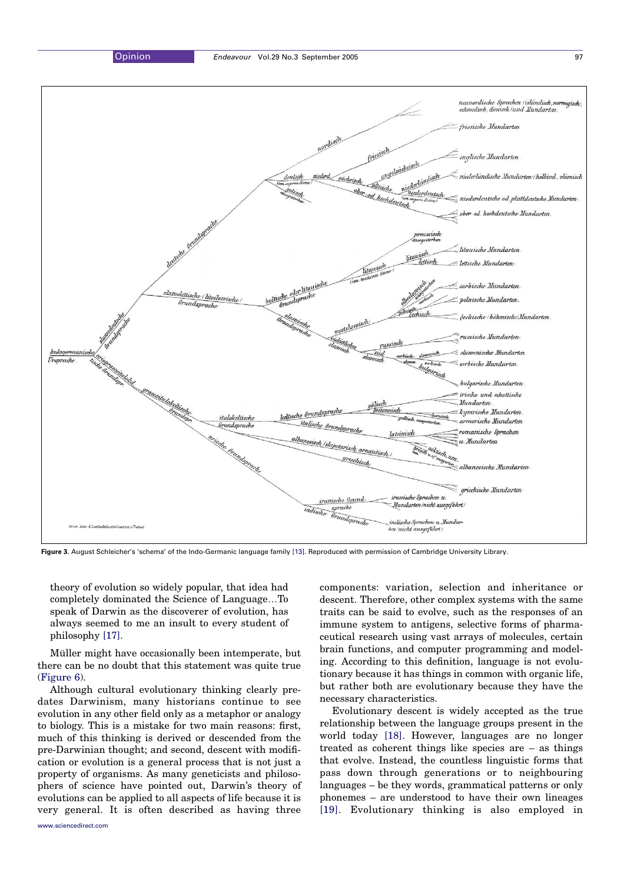<span id="page-3-0"></span>

Figure 3. August Schleicher's 'schema' of the Indo-Germanic language family [\[13\]](#page-5-0). Reproduced with permission of Cambridge University Library.

theory of evolution so widely popular, that idea had completely dominated the Science of Language...To speak of Darwin as the discoverer of evolution, has always seemed to me an insult to every student of philosophy [\[17\].](#page-5-0)

Müller might have occasionally been intemperate, but there can be no doubt that this statement was quite true [\(Figure 6](#page-5-0)).

Although cultural evolutionary thinking clearly predates Darwinism, many historians continue to see evolution in any other field only as a metaphor or analogy to biology. This is a mistake for two main reasons: first, much of this thinking is derived or descended from the pre-Darwinian thought; and second, descent with modification or evolution is a general process that is not just a property of organisms. As many geneticists and philosophers of science have pointed out, Darwin's theory of evolutions can be applied to all aspects of life because it is very general. It is often described as having three [www.sciencedirect.com](http://www.sciencedirect.com)

components: variation, selection and inheritance or descent. Therefore, other complex systems with the same traits can be said to evolve, such as the responses of an immune system to antigens, selective forms of pharmaceutical research using vast arrays of molecules, certain brain functions, and computer programming and modeling. According to this definition, language is not evolutionary because it has things in common with organic life, but rather both are evolutionary because they have the necessary characteristics.

Evolutionary descent is widely accepted as the true relationship between the language groups present in the world today [\[18\].](#page-5-0) However, languages are no longer treated as coherent things like species are – as things that evolve. Instead, the countless linguistic forms that pass down through generations or to neighbouring languages – be they words, grammatical patterns or only phonemes – are understood to have their own lineages [\[19\].](#page-5-0) Evolutionary thinking is also employed in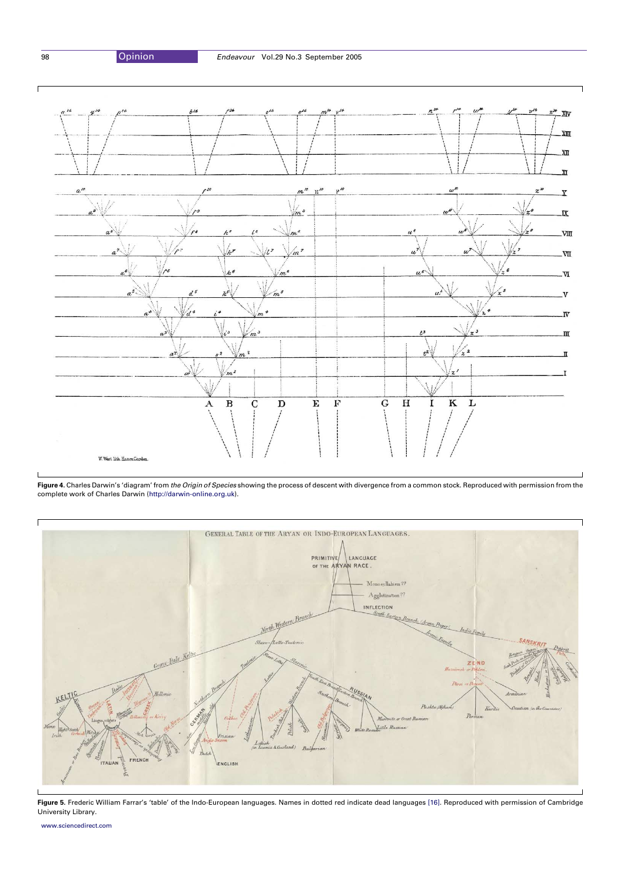<span id="page-4-0"></span>

Figure 4. Charles Darwin's 'diagram' from the Origin of Species showing the process of descent with divergence from a common stock. Reproduced with permission from the complete work of Charles Darwin [\(http://darwin-online.org.uk\)](http://darwin-online.org.uk).



Figure 5. Frederic William Farrar's 'table' of the Indo-European languages. Names in dotted red indicate dead languages [\[16\]](#page-5-0). Reproduced with permission of Cambridge University Library.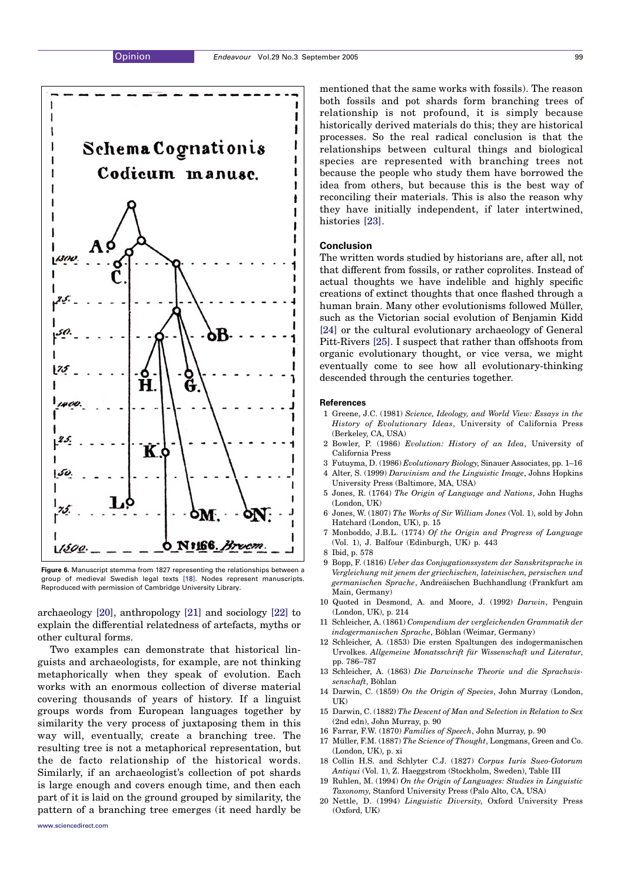<span id="page-5-0"></span>

Figure 6. Manuscript stemma from 1827 representing the relationships between a group of medieval Swedish legal texts [18]. Nodes represent manuscripts. Reproduced with permission of Cambridge University Library.

archaeology [20], anthropology [\[21\]](#page-6-0) and sociology [\[22\]](#page-6-0) to explain the differential relatedness of artefacts, myths or other cultural forms.

Two examples can demonstrate that historical linguists and archaeologists, for example, are not thinking metaphorically when they speak of evolution. Each works with an enormous collection of diverse material covering thousands of years of history. If a linguist groups words from European languages together by similarity the very process of juxtaposing them in this way will, eventually, create a branching tree. The resulting tree is not a metaphorical representation, but the de facto relationship of the historical words. Similarly, if an archaeologist's collection of pot shards is large enough and covers enough time, and then each part of it is laid on the ground grouped by similarity, the pattern of a branching tree emerges (it need hardly be

mentioned that the same works with fossils). The reason both fossils and pot shards form branching trees of relationship is not profound, it is simply because historically derived materials do this; they are historical processes. So the real radical conclusion is that the relationships between cultural things and biological species are represented with branching trees not because the people who study them have borrowed the idea from others, but because this is the best way of reconciling their materials. This is also the reason why they have initially independent, if later intertwined, histories [\[23\].](#page-6-0)

### Conclusion

The written words studied by historians are, after all, not that different from fossils, or rather coprolites. Instead of actual thoughts we have indelible and highly specific creations of extinct thoughts that once flashed through a human brain. Many other evolutionisms followed Müller, such as the Victorian social evolution of Benjamin Kidd [\[24\]](#page-6-0) or the cultural evolutionary archaeology of General Pitt-Rivers [\[25\]](#page-6-0). I suspect that rather than offshoots from organic evolutionary thought, or vice versa, we might eventually come to see how all evolutionary-thinking descended through the centuries together.

#### **References**

- 1 Greene, J.C. (1981) Science, Ideology, and World View: Essays in the History of Evolutionary Ideas, University of California Press (Berkeley, CA, USA)
- 2 Bowler, P. (1986) Evolution: History of an Idea, University of California Press
- 3 Futuyma, D. (1986) Evolutionary Biology, Sinauer Associates, pp. 1–16 4 Alter, S. (1999) Darwinism and the Linguistic Image, Johns Hopkins
- University Press (Baltimore, MA, USA) 5 Jones, R. (1764) The Origin of Language and Nations, John Hughs (London, UK)
- 6 Jones, W. (1807) The Works of Sir William Jones (Vol. 1), sold by John Hatchard (London, UK), p. 15
- 7 Monboddo, J.B.L. (1774) Of the Origin and Progress of Language (Vol. 1), J. Balfour (Edinburgh, UK) p. 443
- 8 Ibid, p. 578
- 9 Bopp, F. (1816) Ueber das Conjugationssystem der Sanskritsprache in Vergleichung mit jenem der griechischen, lateinischen, persischen und germanischen Sprache, Andreäischen Buchhandlung (Frankfurt am Main, Germany)
- 10 Quoted in Desmond, A. and Moore, J. (1992) Darwin, Penguin (London, UK), p. 214
- 11 Schleicher, A. (1861) Compendium der vergleichenden Grammatik der indogermanischen Sprache, Böhlan (Weimar, Germany)
- 12 Schleicher, A. (1853) Die ersten Spaltungen des indogermanischen Urvolkes. Allgemeine Monatsschrift für Wissenschaft und Literatur, pp. 786–787
- 13 Schleicher, A. (1863) Die Darwinsche Theorie und die Sprachwissenschaft, Böhlan
- 14 Darwin, C. (1859) On the Origin of Species, John Murray (London, UK)
- 15 Darwin, C. (1882) The Descent of Man and Selection in Relation to Sex (2nd edn), John Murray, p. 90
- 16 Farrar, F.W. (1870) Families of Speech, John Murray, p. 90
- 17 Müller, F.M. (1887) The Science of Thought, Longmans, Green and Co. (London, UK), p. xi
- 18 Collin H.S. and Schlyter C.J. (1827) Corpus Iuris Sueo-Gotorum Antiqui (Vol. 1), Z. Haeggstrom (Stockholm, Sweden), Table III
- 19 Ruhlen, M. (1994) On the Origin of Languages: Studies in Linguistic Taxonomy, Stanford University Press (Palo Alto, CA, USA)
- 20 Nettle, D. (1994) Linguistic Diversity, Oxford University Press (Oxford, UK)